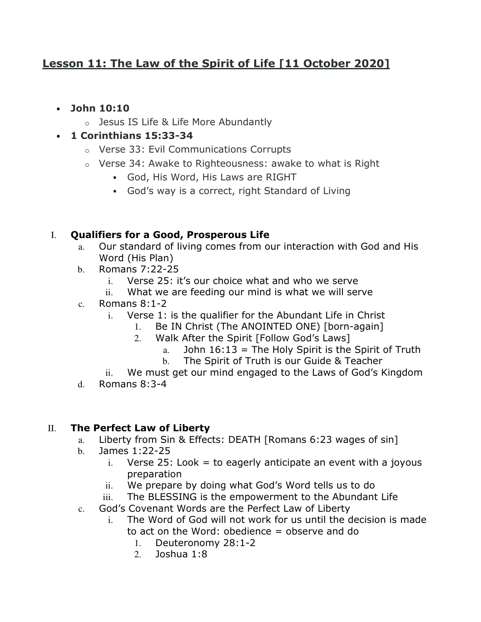# **Lesson 11: The Law of the Spirit of Life [11 October 2020]**

- **John 10:10**
	- o Jesus IS Life & Life More Abundantly
- **1 Corinthians 15:33-34**
	- o Verse 33: Evil Communications Corrupts
	- o Verse 34: Awake to Righteousness: awake to what is Right
		- God, His Word, His Laws are RIGHT
		- God's way is a correct, right Standard of Living

## I. **Qualifiers for a Good, Prosperous Life**

- a. Our standard of living comes from our interaction with God and His Word (His Plan)
- b. Romans 7:22-25
	- i. Verse 25: it's our choice what and who we serve
	- ii. What we are feeding our mind is what we will serve
- c. Romans 8:1-2
	- i. Verse 1: is the qualifier for the Abundant Life in Christ
		- 1. Be IN Christ (The ANOINTED ONE) [born-again]
		- 2. Walk After the Spirit [Follow God's Laws]
			- a. John  $16:13$  = The Holy Spirit is the Spirit of Truth
			- b. The Spirit of Truth is our Guide & Teacher
	- ii. We must get our mind engaged to the Laws of God's Kingdom
- d. Romans 8:3-4

#### II. **The Perfect Law of Liberty**

- a. Liberty from Sin & Effects: DEATH [Romans 6:23 wages of sin]
- b. James 1:22-25
	- i. Verse 25: Look  $=$  to eagerly anticipate an event with a joyous preparation
	- ii. We prepare by doing what God's Word tells us to do
	- iii. The BLESSING is the empowerment to the Abundant Life
- c. God's Covenant Words are the Perfect Law of Liberty
	- i. The Word of God will not work for us until the decision is made to act on the Word: obedience = observe and do
		- 1. Deuteronomy 28:1-2
		- 2. Joshua 1:8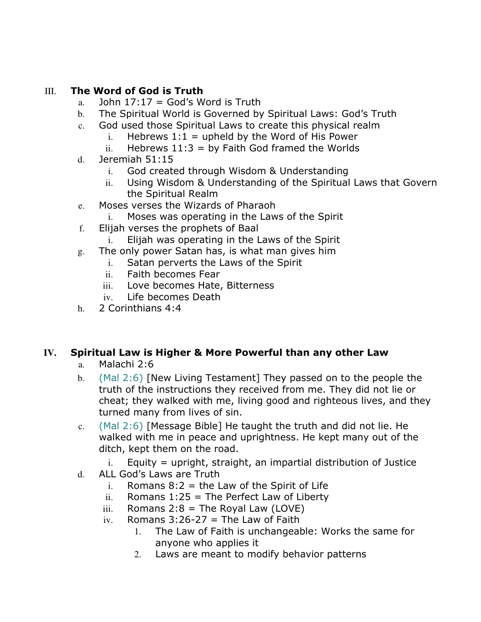## III. **The Word of God is Truth**

- a. John  $17:17 = God's Word$  is Truth
- b. The Spiritual World is Governed by Spiritual Laws: God's Truth
- c. God used those Spiritual Laws to create this physical realm
	- i. Hebrews  $1:1 =$  upheld by the Word of His Power
	- ii. Hebrews  $11:3 = by$  Faith God framed the Worlds
- d. Jeremiah 51:15
	- i. God created through Wisdom & Understanding
	- ii. Using Wisdom & Understanding of the Spiritual Laws that Govern the Spiritual Realm
- e. Moses verses the Wizards of Pharaoh
	- i. Moses was operating in the Laws of the Spirit
- f. Elijah verses the prophets of Baal
	- i. Elijah was operating in the Laws of the Spirit
- g. The only power Satan has, is what man gives him
	- i. Satan perverts the Laws of the Spirit
	- ii. Faith becomes Fear
	- iii. Love becomes Hate, Bitterness
	- iv. Life becomes Death
- h. 2 Corinthians 4:4

# **IV. Spiritual Law is Higher & More Powerful than any other Law**

- a. Malachi 2:6
- b. (Mal 2:6) [New Living Testament] They passed on to the people the truth of the instructions they received from me. They did not lie or cheat; they walked with me, living good and righteous lives, and they turned many from lives of sin.
- c. (Mal 2:6) [Message Bible] He taught the truth and did not lie. He walked with me in peace and uprightness. He kept many out of the ditch, kept them on the road.
	- $i.$  Equity = upright, straight, an impartial distribution of Justice
- d. ALL God's Laws are Truth
	- i. Romans  $8:2 =$  the Law of the Spirit of Life
	- ii. Romans  $1:25 =$  The Perfect Law of Liberty
	- iii. Romans  $2:8 =$  The Royal Law (LOVE)
	- iv. Romans  $3:26-27$  = The Law of Faith
		- 1. The Law of Faith is unchangeable: Works the same for anyone who applies it
		- 2. Laws are meant to modify behavior patterns